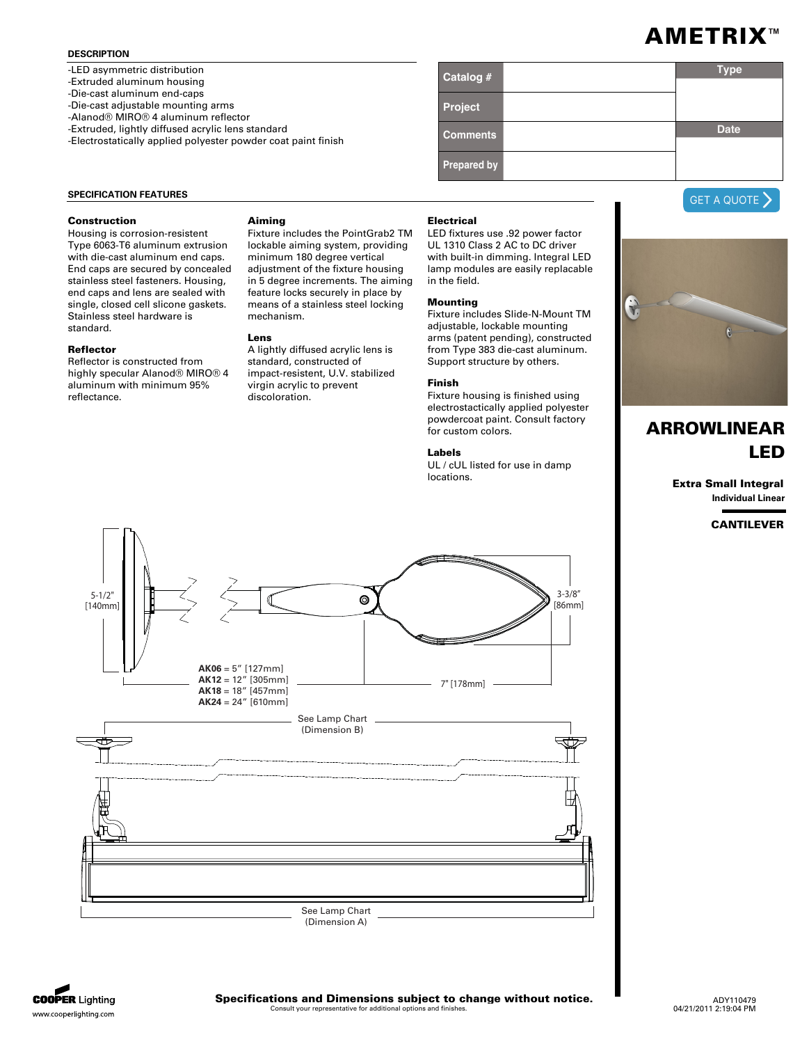### **DESCRIPTION**

-LED asymmetric distribution

-Extruded aluminum housing

-Die-cast aluminum end-caps

-Die-cast adjustable mounting arms -Alanod® MIRO® 4 aluminum reflector

-Extruded, lightly diffused acrylic lens standard

-Electrostatically applied polyester powder coat paint finish

| Catalog #          | <b>Type</b> |  |
|--------------------|-------------|--|
| Project            |             |  |
| <b>Comments</b>    | <b>Date</b> |  |
| <b>Prepared by</b> |             |  |

#### **SPECIFICATION FEATURES**

#### **Construction**

Housing is corrosion-resistent Type 6063-T6 aluminum extrusion with die-cast aluminum end caps. End caps are secured by concealed stainless steel fasteners. Housing, end caps and lens are sealed with single, closed cell slicone gaskets. Stainless steel hardware is standard.

#### **Reflector**

Reflector is constructed from highly specular Alanod® MIRO® 4 aluminum with minimum 95% reflectance.

#### **Aiming**

Fixture includes the PointGrab2 TM lockable aiming system, providing minimum 180 degree vertical adjustment of the fixture housing in 5 degree increments. The aiming feature locks securely in place by means of a stainless steel locking mechanism.

#### **Lens**

A lightly diffused acrylic lens is standard, constructed of impact-resistent, U.V. stabilized virgin acrylic to prevent discoloration.

#### **Electrical**

LED fixtures use .92 power factor UL 1310 Class 2 AC to DC driver with built-in dimming. Integral LED lamp modules are easily replacable in the field.

# **Mounting**

Fixture includes Slide-N-Mount TM adjustable, lockable mounting arms (patent pending), constructed from Type 383 die-cast aluminum. Support structure by others.

#### **Finish**

Fixture housing is finished using electrostactically applied polyester powdercoat paint. Consult factory for custom colors.

## **Labels**

UL / cUL listed for use in damp locations.







# **ARROWLINEAR LED**

**Extra Small Integral Individual Linear**

**CANTILEVER**